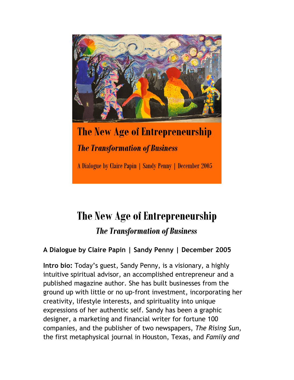

The New Age of Entrepreneurship **The Transformation of Business** 

A Dialogue by Claire Papin | Sandy Penny | December 2005

# **The New Age of Entrepreneurship** *The Transformation of Business*

## **A Dialogue by Claire Papin | Sandy Penny | December 2005**

**Intro bio:** Today's guest, Sandy Penny, is a visionary, a highly intuitive spiritual advisor, an accomplished entrepreneur and a published magazine author. She has built businesses from the ground up with little or no up-front investment, incorporating her creativity, lifestyle interests, and spirituality into unique expressions of her authentic self. Sandy has been a graphic designer, a marketing and financial writer for fortune 100 companies, and the publisher of two newspapers, *The Rising Sun*, the first metaphysical journal in Houston, Texas, and *Family and*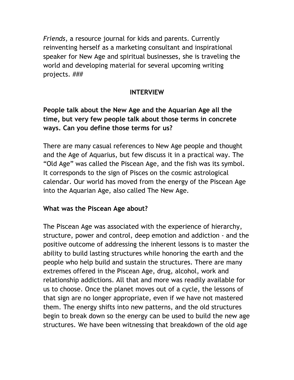*Friends*, a resource journal for kids and parents. Currently reinventing herself as a marketing consultant and inspirational speaker for New Age and spiritual businesses, she is traveling the world and developing material for several upcoming writing projects. ###

### **INTERVIEW**

## **People talk about the New Age and the Aquarian Age all the time, but very few people talk about those terms in concrete ways. Can you define those terms for us?**

There are many casual references to New Age people and thought and the Age of Aquarius, but few discuss it in a practical way. The "Old Age" was called the Piscean Age, and the fish was its symbol. It corresponds to the sign of Pisces on the cosmic astrological calendar. Our world has moved from the energy of the Piscean Age into the Aquarian Age, also called The New Age.

### **What was the Piscean Age about?**

The Piscean Age was associated with the experience of hierarchy, structure, power and control, deep emotion and addiction - and the positive outcome of addressing the inherent lessons is to master the ability to build lasting structures while honoring the earth and the people who help build and sustain the structures. There are many extremes offered in the Piscean Age, drug, alcohol, work and relationship addictions. All that and more was readily available for us to choose. Once the planet moves out of a cycle, the lessons of that sign are no longer appropriate, even if we have not mastered them. The energy shifts into new patterns, and the old structures begin to break down so the energy can be used to build the new age structures. We have been witnessing that breakdown of the old age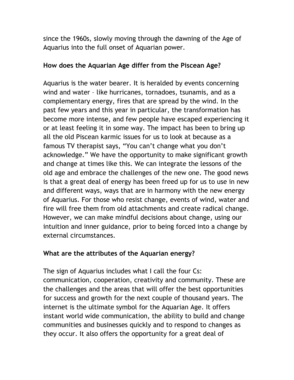since the 1960s, slowly moving through the dawning of the Age of Aquarius into the full onset of Aquarian power.

#### **How does the Aquarian Age differ from the Piscean Age?**

Aquarius is the water bearer. It is heralded by events concerning wind and water – like hurricanes, tornadoes, tsunamis, and as a complementary energy, fires that are spread by the wind. In the past few years and this year in particular, the transformation has become more intense, and few people have escaped experiencing it or at least feeling it in some way. The impact has been to bring up all the old Piscean karmic issues for us to look at because as a famous TV therapist says, "You can't change what you don't acknowledge." We have the opportunity to make significant growth and change at times like this. We can integrate the lessons of the old age and embrace the challenges of the new one. The good news is that a great deal of energy has been freed up for us to use in new and different ways, ways that are in harmony with the new energy of Aquarius. For those who resist change, events of wind, water and fire will free them from old attachments and create radical change. However, we can make mindful decisions about change, using our intuition and inner guidance, prior to being forced into a change by external circumstances.

### **What are the attributes of the Aquarian energy?**

The sign of Aquarius includes what I call the four Cs: communication, cooperation, creativity and community. These are the challenges and the areas that will offer the best opportunities for success and growth for the next couple of thousand years. The internet is the ultimate symbol for the Aquarian Age. It offers instant world wide communication, the ability to build and change communities and businesses quickly and to respond to changes as they occur. It also offers the opportunity for a great deal of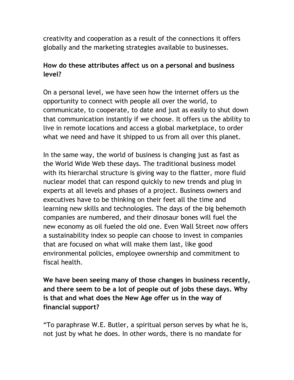creativity and cooperation as a result of the connections it offers globally and the marketing strategies available to businesses.

## **How do these attributes affect us on a personal and business level?**

On a personal level, we have seen how the internet offers us the opportunity to connect with people all over the world, to communicate, to cooperate, to date and just as easily to shut down that communication instantly if we choose. It offers us the ability to live in remote locations and access a global marketplace, to order what we need and have it shipped to us from all over this planet.

In the same way, the world of business is changing just as fast as the World Wide Web these days. The traditional business model with its hierarchal structure is giving way to the flatter, more fluid nuclear model that can respond quickly to new trends and plug in experts at all levels and phases of a project. Business owners and executives have to be thinking on their feet all the time and learning new skills and technologies. The days of the big behemoth companies are numbered, and their dinosaur bones will fuel the new economy as oil fueled the old one. Even Wall Street now offers a sustainability index so people can choose to invest in companies that are focused on what will make them last, like good environmental policies, employee ownership and commitment to fiscal health.

**We have been seeing many of those changes in business recently, and there seem to be a lot of people out of jobs these days. Why is that and what does the New Age offer us in the way of financial support?** 

"To paraphrase W.E. Butler, a spiritual person serves by what he is, not just by what he does. In other words, there is no mandate for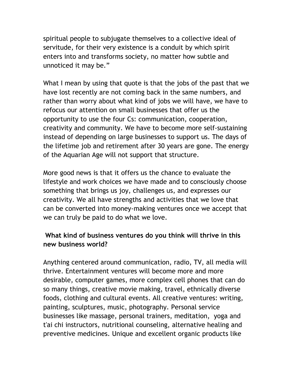spiritual people to subjugate themselves to a collective ideal of servitude, for their very existence is a conduit by which spirit enters into and transforms society, no matter how subtle and unnoticed it may be."

What I mean by using that quote is that the jobs of the past that we have lost recently are not coming back in the same numbers, and rather than worry about what kind of jobs we will have, we have to refocus our attention on small businesses that offer us the opportunity to use the four Cs: communication, cooperation, creativity and community. We have to become more self-sustaining instead of depending on large businesses to support us. The days of the lifetime job and retirement after 30 years are gone. The energy of the Aquarian Age will not support that structure.

More good news is that it offers us the chance to evaluate the lifestyle and work choices we have made and to consciously choose something that brings us joy, challenges us, and expresses our creativity. We all have strengths and activities that we love that can be converted into money-making ventures once we accept that we can truly be paid to do what we love.

## **What kind of business ventures do you think will thrive in this new business world?**

Anything centered around communication, radio, TV, all media will thrive. Entertainment ventures will become more and more desirable, computer games, more complex cell phones that can do so many things, creative movie making, travel, ethnically diverse foods, clothing and cultural events. All creative ventures: writing, painting, sculptures, music, photography. Personal service businesses like massage, personal trainers, meditation, yoga and t'ai chi instructors, nutritional counseling, alternative healing and preventive medicines. Unique and excellent organic products like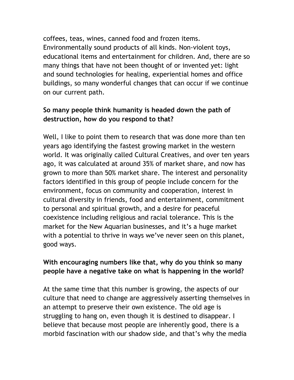coffees, teas, wines, canned food and frozen items. Environmentally sound products of all kinds. Non-violent toys, educational items and entertainment for children. And, there are so many things that have not been thought of or invented yet: light and sound technologies for healing, experiential homes and office buildings, so many wonderful changes that can occur if we continue on our current path.

## **So many people think humanity is headed down the path of destruction, how do you respond to that?**

Well, I like to point them to research that was done more than ten years ago identifying the fastest growing market in the western world. It was originally called Cultural Creatives, and over ten years ago, it was calculated at around 35% of market share, and now has grown to more than 50% market share. The interest and personality factors identified in this group of people include concern for the environment, focus on community and cooperation, interest in cultural diversity in friends, food and entertainment, commitment to personal and spiritual growth, and a desire for peaceful coexistence including religious and racial tolerance. This is the market for the New Aquarian businesses, and it's a huge market with a potential to thrive in ways we've never seen on this planet, good ways.

## **With encouraging numbers like that, why do you think so many people have a negative take on what is happening in the world?**

At the same time that this number is growing, the aspects of our culture that need to change are aggressively asserting themselves in an attempt to preserve their own existence. The old age is struggling to hang on, even though it is destined to disappear. I believe that because most people are inherently good, there is a morbid fascination with our shadow side, and that's why the media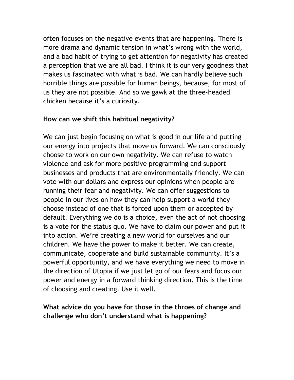often focuses on the negative events that are happening. There is more drama and dynamic tension in what's wrong with the world, and a bad habit of trying to get attention for negativity has created a perception that we are all bad. I think it is our very goodness that makes us fascinated with what is bad. We can hardly believe such horrible things are possible for human beings, because, for most of us they are not possible. And so we gawk at the three-headed chicken because it's a curiosity.

#### **How can we shift this habitual negativity?**

We can just begin focusing on what is good in our life and putting our energy into projects that move us forward. We can consciously choose to work on our own negativity. We can refuse to watch violence and ask for more positive programming and support businesses and products that are environmentally friendly. We can vote with our dollars and express our opinions when people are running their fear and negativity. We can offer suggestions to people in our lives on how they can help support a world they choose instead of one that is forced upon them or accepted by default. Everything we do is a choice, even the act of not choosing is a vote for the status quo. We have to claim our power and put it into action. We're creating a new world for ourselves and our children. We have the power to make it better. We can create, communicate, cooperate and build sustainable community. It's a powerful opportunity, and we have everything we need to move in the direction of Utopia if we just let go of our fears and focus our power and energy in a forward thinking direction. This is the time of choosing and creating. Use it well.

## **What advice do you have for those in the throes of change and challenge who don't understand what is happening?**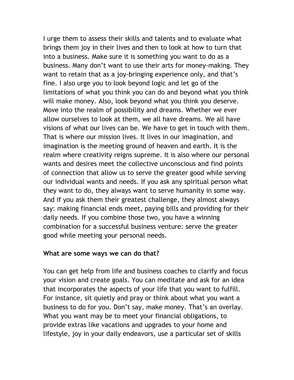I urge them to assess their skills and talents and to evaluate what brings them joy in their lives and then to look at how to turn that into a business. Make sure it is something you want to do as a business. Many don't want to use their arts for money-making. They want to retain that as a joy-bringing experience only, and that's fine. I also urge you to look beyond logic and let go of the limitations of what you think you can do and beyond what you think will make money. Also, look beyond what you think you deserve. Move into the realm of possibility and dreams. Whether we ever allow ourselves to look at them, we all have dreams. We all have visions of what our lives can be. We have to get in touch with them. That is where our mission lives. It lives in our imagination, and imagination is the meeting ground of heaven and earth. It is the realm where creativity reigns supreme. It is also where our personal wants and desires meet the collective unconscious and find points of connection that allow us to serve the greater good while serving our individual wants and needs. If you ask any spiritual person what they want to do, they always want to serve humanity in some way. And if you ask them their greatest challenge, they almost always say: making financial ends meet, paying bills and providing for their daily needs. If you combine those two, you have a winning combination for a successful business venture: serve the greater good while meeting your personal needs.

#### **What are some ways we can do that?**

You can get help from life and business coaches to clarify and focus your vision and create goals. You can meditate and ask for an idea that incorporates the aspects of your life that you want to fulfill. For instance, sit quietly and pray or think about what you want a business to do for you. Don't say, make money. That's an overlay. What you want may be to meet your financial obligations, to provide extras like vacations and upgrades to your home and lifestyle, joy in your daily endeavors, use a particular set of skills